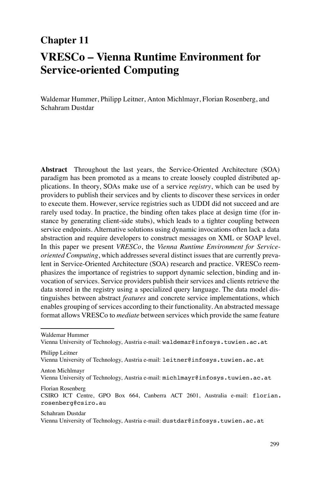#### **Chapter 11**

# **VRESCo – Vienna Runtime Environment for Service-oriented Computing**

Waldemar Hummer, Philipp Leitner, Anton Michlmayr, Florian Rosenberg, and Schahram Dustdar

**Abstract** Throughout the last years, the Service-Oriented Architecture (SOA) paradigm has been promoted as a means to create loosely coupled distributed applications. In theory, SOAs make use of a service *registry*, which can be used by providers to publish their services and by clients to discover these services in order to execute them. However, service registries such as UDDI did not succeed and are rarely used today. In practice, the binding often takes place at design time (for instance by generating client-side stubs), which leads to a tighter coupling between service endpoints. Alternative solutions using dynamic invocations often lack a data abstraction and require developers to construct messages on XML or SOAP level. In this paper we present *VRESCo*, the *Vienna Runtime Environment for Serviceoriented Computing*, which addresses several distinct issues that are currently prevalent in Service-Oriented Architecture (SOA) research and practice. VRESCo reemphasizes the importance of registries to support dynamic selection, binding and invocation of services. Service providers publish their services and clients retrieve the data stored in the registry using a specialized query language. The data model distinguishes between abstract *features* and concrete service implementations, which enables grouping of services according to their functionality. An abstracted message format allows VRESCo to *mediate* between services which provide the same feature

Waldemar Hummer

Vienna University of Technology, Austria e-mail: waldemar@infosys.tuwien.ac.at

Philipp Leitner

Vienna University of Technology, Austria e-mail: leitner@infosys.tuwien.ac.at

Anton Michlmayr

Vienna University of Technology, Austria e-mail: michlmayr@infosys.tuwien.ac.at

Florian Rosenberg CSIRO ICT Centre, GPO Box 664, Canberra ACT 2601, Australia e-mail: florian. rosenberg@csiro.au

Schahram Dustdar Vienna University of Technology, Austria e-mail: dustdar@infosys.tuwien.ac.at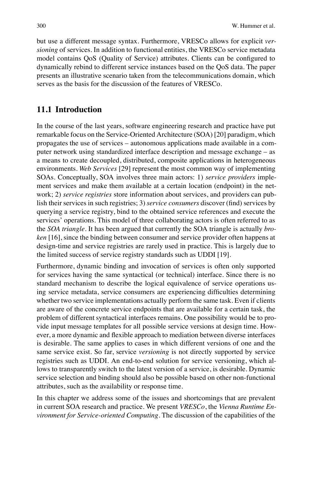but use a different message syntax. Furthermore, VRESCo allows for explicit *versioning* of services. In addition to functional entities, the VRESCo service metadata model contains QoS (Quality of Service) attributes. Clients can be configured to dynamically rebind to different service instances based on the QoS data. The paper presents an illustrative scenario taken from the telecommunications domain, which serves as the basis for the discussion of the features of VRESCo.

#### **11.1 Introduction**

In the course of the last years, software engineering research and practice have put remarkable focus on the Service-Oriented Architecture (SOA) [20] paradigm, which propagates the use of services – autonomous applications made available in a computer network using standardized interface description and message exchange – as a means to create decoupled, distributed, composite applications in heterogeneous environments. *Web Services* [29] represent the most common way of implementing SOAs. Conceptually, SOA involves three main actors: 1) *service providers* implement services and make them available at a certain location (endpoint) in the network; 2) *service registries* store information about services, and providers can publish their services in such registries; 3)*service consumers* discover (find) services by querying a service registry, bind to the obtained service references and execute the services' operations. This model of three collaborating actors is often referred to as the *SOA triangle*. It has been argued that currently the SOA triangle is actually *broken* [16], since the binding between consumer and service provider often happens at design-time and service registries are rarely used in practice. This is largely due to the limited success of service registry standards such as UDDI [19].

Furthermore, dynamic binding and invocation of services is often only supported for services having the same syntactical (or technical) interface. Since there is no standard mechanism to describe the logical equivalence of service operations using service metadata, service consumers are experiencing difficulties determining whether two service implementations actually perform the same task. Even if clients are aware of the concrete service endpoints that are available for a certain task, the problem of different syntactical interfaces remains. One possibility would be to provide input message templates for all possible service versions at design time. However, a more dynamic and flexible approach to mediation between diverse interfaces is desirable. The same applies to cases in which different versions of one and the same service exist. So far, service *versioning* is not directly supported by service registries such as UDDI. An end-to-end solution for service versioning, which allows to transparently switch to the latest version of a service, is desirable. Dynamic service selection and binding should also be possible based on other non-functional attributes, such as the availability or response time.

In this chapter we address some of the issues and shortcomings that are prevalent in current SOA research and practice. We present *VRESCo*, the *Vienna Runtime Environment for Service-oriented Computing*. The discussion of the capabilities of the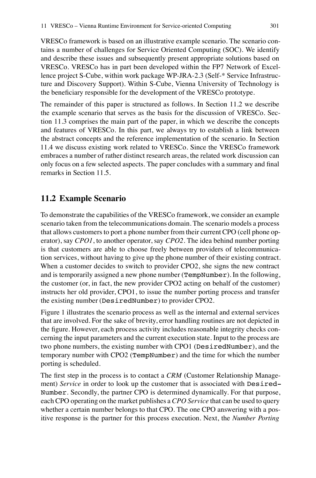VRESCo framework is based on an illustrative example scenario. The scenario contains a number of challenges for Service Oriented Computing (SOC). We identify and describe these issues and subsequently present appropriate solutions based on VRESCo. VRESCo has in part been developed within the FP7 Network of Excellence project S-Cube, within work package WP-JRA-2.3 (Self-\* Service Infrastructure and Discovery Support). Within S-Cube, Vienna University of Technology is the beneficiary responsible for the development of the VRESCo prototype.

The remainder of this paper is structured as follows. In Section 11.2 we describe the example scenario that serves as the basis for the discussion of VRESCo. Section 11.3 comprises the main part of the paper, in which we describe the concepts and features of VRESCo. In this part, we always try to establish a link between the abstract concepts and the reference implementation of the scenario. In Section 11.4 we discuss existing work related to VRESCo. Since the VRESCo framework embraces a number of rather distinct research areas, the related work discussion can only focus on a few selected aspects. The paper concludes with a summary and final remarks in Section 11.5.

## **11.2 Example Scenario**

To demonstrate the capabilities of the VRESCo framework, we consider an example scenario taken from the telecommunications domain. The scenario models a process that allows customers to port a phone number from their current CPO (cell phone operator), say *CPO1*, to another operator, say *CPO2*. The idea behind number porting is that customers are able to choose freely between providers of telecommunication services, without having to give up the phone number of their existing contract. When a customer decides to switch to provider CPO2, she signs the new contract and is temporarily assigned a new phone number (TempNumber). In the following, the customer (or, in fact, the new provider CPO2 acting on behalf of the customer) instructs her old provider, CPO1, to issue the number porting process and transfer the existing number (DesiredNumber) to provider CPO2.

Figure 1 illustrates the scenario process as well as the internal and external services that are involved. For the sake of brevity, error handling routines are not depicted in the figure. However, each process activity includes reasonable integrity checks concerning the input parameters and the current execution state. Input to the process are two phone numbers, the existing number with CPO1 (DesiredNumber), and the temporary number with CPO2 (TempNumber) and the time for which the number porting is scheduled.

The first step in the process is to contact a *CRM* (Customer Relationship Management) *Service* in order to look up the customer that is associated with Desired-Number. Secondly, the partner CPO is determined dynamically. For that purpose, each CPO operating on the market publishes a *CPO Service* that can be used to query whether a certain number belongs to that CPO. The one CPO answering with a positive response is the partner for this process execution. Next, the *Number Porting*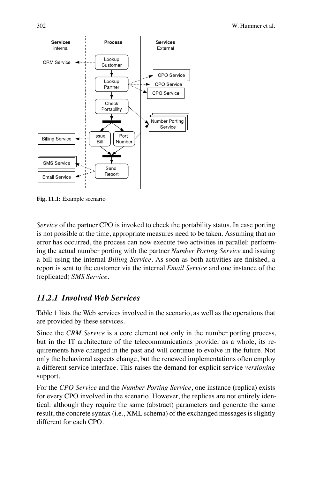

**Fig. 11.1:** Example scenario

*Service* of the partner CPO is invoked to check the portability status. In case porting is not possible at the time, appropriate measures need to be taken. Assuming that no error has occurred, the process can now execute two activities in parallel: performing the actual number porting with the partner *Number Porting Service* and issuing a bill using the internal *Billing Service*. As soon as both activities are finished, a report is sent to the customer via the internal *Email Service* and one instance of the (replicated) *SMS Service*.

# *11.2.1 Involved Web Services*

Table 1 lists the Web services involved in the scenario, as well as the operations that are provided by these services.

Since the *CRM Service* is a core element not only in the number porting process, but in the IT architecture of the telecommunications provider as a whole, its requirements have changed in the past and will continue to evolve in the future. Not only the behavioral aspects change, but the renewed implementations often employ a different service interface. This raises the demand for explicit service *versioning* support.

For the *CPO Service* and the *Number Porting Service*, one instance (replica) exists for every CPO involved in the scenario. However, the replicas are not entirely identical: although they require the same (abstract) parameters and generate the same result, the concrete syntax (i.e., XML schema) of the exchanged messages is slightly different for each CPO.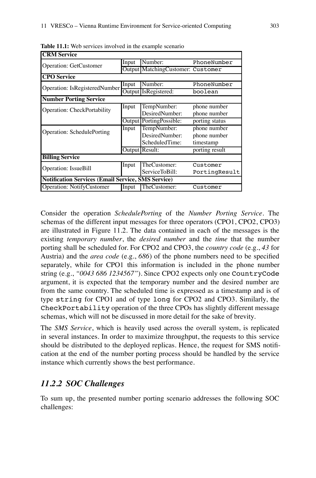| <b>CRM</b> Service                                        |                |                                   |                |  |
|-----------------------------------------------------------|----------------|-----------------------------------|----------------|--|
| <b>Operation: GetCustomer</b>                             | Input          | Number:                           | PhoneNumber    |  |
|                                                           |                | Output MatchingCustomer: Customer |                |  |
| <b>CPO</b> Service                                        |                |                                   |                |  |
| Operation: IsRegisteredNumber                             | Input          | Number:                           | PhoneNumber    |  |
|                                                           |                | Output IsRegistered:              | boolean        |  |
| <b>Number Porting Service</b>                             |                |                                   |                |  |
| Operation: CheckPortability                               | Input          | TempNumber:                       | phone number   |  |
|                                                           |                | DesiredNumber:                    | phone number   |  |
|                                                           |                | Output PortingPossible:           | porting status |  |
| Operation: SchedulePorting                                | Input          | TempNumber:                       | phone number   |  |
|                                                           |                | DesiredNumber:                    | phone number   |  |
|                                                           |                | ScheduledTime:                    | timestamp      |  |
|                                                           | Output Result: |                                   | porting result |  |
| <b>Billing Service</b>                                    |                |                                   |                |  |
|                                                           | Input          | TheCustomer:                      | Customer       |  |
| Operation: IssueBill                                      |                | ServiceToBill:                    | PortingResult  |  |
| <b>Notification Services (Email Service, SMS Service)</b> |                |                                   |                |  |
| Operation: NotifyCustomer                                 | Input          | TheCustomer:                      | Customer       |  |
|                                                           |                |                                   |                |  |

**Table 11.1:** Web services involved in the example scenario

Consider the operation *SchedulePorting* of the *Number Porting Service*. The schemas of the different input messages for three operators (CPO1, CPO2, CPO3) are illustrated in Figure 11.2. The data contained in each of the messages is the existing *temporary number*, the *desired number* and the *time* that the number porting shall be scheduled for. For CPO2 and CPO3, the *country code* (e.g., *43* for Austria) and the *area code* (e.g., *686*) of the phone numbers need to be specified separately, while for CPO1 this information is included in the phone number string (e.g., *"0043 686 1234567"*). Since CPO2 expects only one CountryCode argument, it is expected that the temporary number and the desired number are from the same country. The scheduled time is expressed as a timestamp and is of type string for CPO1 and of type long for CPO2 and CPO3. Similarly, the CheckPortability operation of the three CPOs has slightly different message schemas, which will not be discussed in more detail for the sake of brevity.

The *SMS Service*, which is heavily used across the overall system, is replicated in several instances. In order to maximize throughput, the requests to this service should be distributed to the deployed replicas. Hence, the request for SMS notification at the end of the number porting process should be handled by the service instance which currently shows the best performance.

## *11.2.2 SOC Challenges*

To sum up, the presented number porting scenario addresses the following SOC challenges: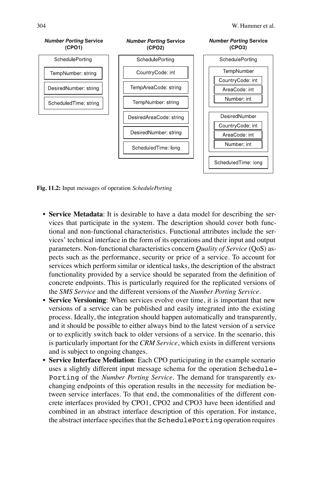

**Fig. 11.2:** Input messages of operation *SchedulePorting*

- **Service Metadata**: It is desirable to have a data model for describing the services that participate in the system. The description should cover both functional and non-functional characteristics. Functional attributes include the services' technical interface in the form of its operations and their input and output parameters. Non-functional characteristics concern *Quality of Service* (QoS) aspects such as the performance, security or price of a service. To account for services which perform similar or identical tasks, the description of the abstract functionality provided by a service should be separated from the definition of concrete endpoints. This is particularly required for the replicated versions of the *SMS Service* and the different versions of the *Number Porting Service*.
- **Service Versioning**: When services evolve over time, it is important that new versions of a service can be published and easily integrated into the existing process. Ideally, the integration should happen automatically and transparently, and it should be possible to either always bind to the latest version of a service or to explicitly switch back to older versions of a service. In the scenario, this is particularly important for the *CRM Service*, which exists in different versions and is subject to ongoing changes.
- **Service Interface Mediation**: Each CPO participating in the example scenario uses a slightly different input message schema for the operation Schedule-Porting of the *Number Porting Service*. The demand for transparently exchanging endpoints of this operation results in the necessity for mediation between service interfaces. To that end, the commonalities of the different concrete interfaces provided by CPO1, CPO2 and CPO3 have been identified and combined in an abstract interface description of this operation. For instance, the abstract interface specifies that the SchedulePorting operation requires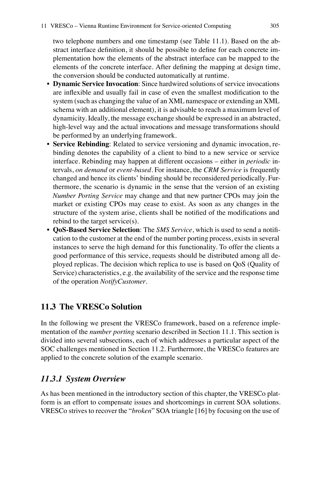two telephone numbers and one timestamp (see Table 11.1). Based on the abstract interface definition, it should be possible to define for each concrete implementation how the elements of the abstract interface can be mapped to the elements of the concrete interface. After defining the mapping at design time, the conversion should be conducted automatically at runtime.

- **Dynamic Service Invocation**: Since hardwired solutions of service invocations are inflexible and usually fail in case of even the smallest modification to the system (such as changing the value of an XML namespace or extending an XML schema with an additional element), it is advisable to reach a maximum level of dynamicity. Ideally, the message exchange should be expressed in an abstracted, high-level way and the actual invocations and message transformations should be performed by an underlying framework.
- **Service Rebinding**: Related to service versioning and dynamic invocation, rebinding denotes the capability of a client to bind to a new service or service interface. Rebinding may happen at different occasions – either in *periodic* intervals, *on demand* or *event-based*. For instance, the *CRM Service* is frequently changed and hence its clients' binding should be reconsidered periodically. Furthermore, the scenario is dynamic in the sense that the version of an existing *Number Porting Service* may change and that new partner CPOs may join the market or existing CPOs may cease to exist. As soon as any changes in the structure of the system arise, clients shall be notified of the modifications and rebind to the target service(s).
- **QoS-Based Service Selection**: The *SMS Service*, which is used to send a notification to the customer at the end of the number porting process, exists in several instances to serve the high demand for this functionality. To offer the clients a good performance of this service, requests should be distributed among all deployed replicas. The decision which replica to use is based on QoS (Quality of Service) characteristics, e.g. the availability of the service and the response time of the operation *NotifyCustomer*.

# **11.3 The VRESCo Solution**

In the following we present the VRESCo framework, based on a reference implementation of the *number porting* scenario described in Section 11.1. This section is divided into several subsections, each of which addresses a particular aspect of the SOC challenges mentioned in Section 11.2. Furthermore, the VRESCo features are applied to the concrete solution of the example scenario.

# *11.3.1 System Overview*

As has been mentioned in the introductory section of this chapter, the VRESCo platform is an effort to compensate issues and shortcomings in current SOA solutions. VRESCo strives to recover the "*broken*" SOA triangle [16] by focusing on the use of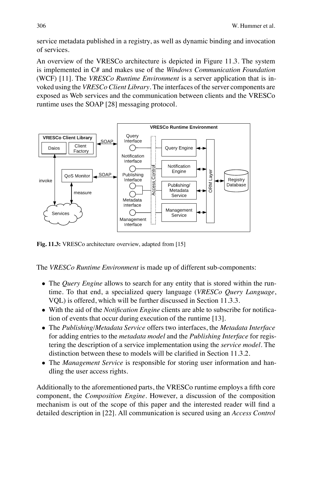service metadata published in a registry, as well as dynamic binding and invocation of services.

An overview of the VRESCo architecture is depicted in Figure 11.3. The system is implemented in C# and makes use of the *Windows Communication Foundation* (WCF) [11]. The *VRESCo Runtime Environment* is a server application that is invoked using the *VRESCo Client Library*. The interfaces of the server components are exposed as Web services and the communication between clients and the VRESCo runtime uses the SOAP [28] messaging protocol.



**Fig. 11.3:** VRESCo architecture overview, adapted from [15]

The *VRESCo Runtime Environment* is made up of different sub-components:

- The *Query Engine* allows to search for any entity that is stored within the runtime. To that end, a specialized query language (*VRESCo Query Language*, VQL) is offered, which will be further discussed in Section 11.3.3.
- With the aid of the *Notification Engine* clients are able to subscribe for notification of events that occur during execution of the runtime [13].
- The *Publishing/Metadata Service* offers two interfaces, the *Metadata Interface* for adding entries to the *metadata model* and the *Publishing Interface* for registering the description of a service implementation using the *service model*. The distinction between these to models will be clarified in Section 11.3.2.
- The *Management Service* is responsible for storing user information and handling the user access rights.

Additionally to the aforementioned parts, the VRESCo runtime employs a fifth core component, the *Composition Engine*. However, a discussion of the composition mechanism is out of the scope of this paper and the interested reader will find a detailed description in [22]. All communication is secured using an *Access Control*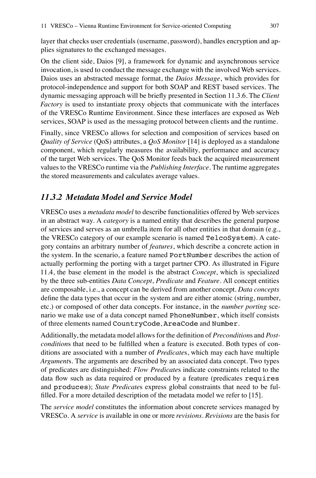layer that checks user credentials (username, password), handles encryption and applies signatures to the exchanged messages.

On the client side, Daios [9], a framework for dynamic and asynchronous service invocation, is used to conduct the message exchange with the involved Web services. Daios uses an abstracted message format, the *Daios Message*, which provides for protocol-independence and support for both SOAP and REST based services. The dynamic messaging approach will be briefly presented in Section 11.3.6. The *Client Factory* is used to instantiate proxy objects that communicate with the interfaces of the VRESCo Runtime Environment. Since these interfaces are exposed as Web services, SOAP is used as the messaging protocol between clients and the runtime.

Finally, since VRESCo allows for selection and composition of services based on *Quality of Service* (QoS) attributes, a *QoS Monitor* [14] is deployed as a standalone component, which regularly measures the availability, performance and accuracy of the target Web services. The QoS Monitor feeds back the acquired measurement values to the VRESCo runtime via the *Publishing Interface*. The runtime aggregates the stored measurements and calculates average values.

## *11.3.2 Metadata Model and Service Model*

VRESCo uses a *metadata model* to describe functionalities offered by Web services in an abstract way. A *category* is a named entity that describes the general purpose of services and serves as an umbrella item for all other entities in that domain (e.g., the VRESCo category of our example scenario is named TelcoSystem). A category contains an arbitrary number of *features*, which describe a concrete action in the system. In the scenario, a feature named PortNumber describes the action of actually performing the porting with a target partner CPO. As illustrated in Figure 11.4, the base element in the model is the abstract *Concept*, which is specialized by the three sub-entities *Data Concept*, *Predicate* and *Feature*. All concept entities are composable, i.e., a concept can be derived from another concept. *Data concepts* define the data types that occur in the system and are either atomic (string, number, etc.) or composed of other data concepts. For instance, in the *number porting* scenario we make use of a data concept named PhoneNumber, which itself consists of three elements named CountryCode, AreaCode and Number.

Additionally, the metadata model allows for the definition of *Precondition*s and *Postcondition*s that need to be fulfilled when a feature is executed. Both types of conditions are associated with a number of *Predicate*s, which may each have multiple *Argument*s. The arguments are described by an associated data concept. Two types of predicates are distinguished: *Flow Predicate*s indicate constraints related to the data flow such as data required or produced by a feature (predicates requires and produces); *State Predicate*s express global constraints that need to be fulfilled. For a more detailed description of the metadata model we refer to [15].

The *service model* constitutes the information about concrete services managed by VRESCo. A *service* is available in one or more *revisions*. *Revisions* are the basis for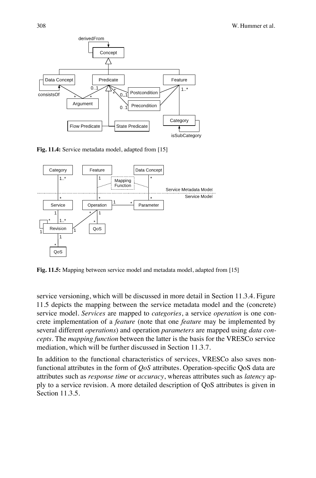

**Fig. 11.4:** Service metadata model, adapted from [15]



**Fig. 11.5:** Mapping between service model and metadata model, adapted from [15]

service versioning, which will be discussed in more detail in Section 11.3.4. Figure 11.5 depicts the mapping between the service metadata model and the (concrete) service model. *Services* are mapped to *categories*, a service *operation* is one concrete implementation of a *feature* (note that one *feature* may be implemented by several different *operations*) and operation *parameters* are mapped using *data concepts*. The *mapping function* between the latter is the basis for the VRESCo service mediation, which will be further discussed in Section 11.3.7.

In addition to the functional characteristics of services, VRESCo also saves nonfunctional attributes in the form of *QoS* attributes. Operation-specific QoS data are attributes such as *response time* or *accuracy*, whereas attributes such as *latency* apply to a service revision. A more detailed description of QoS attributes is given in Section 11.3.5.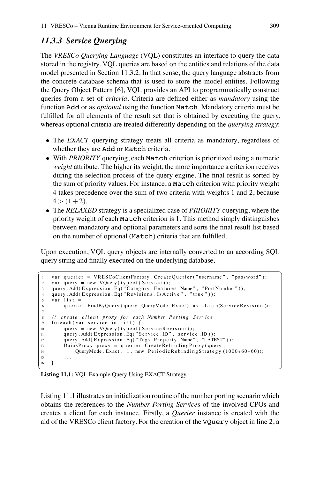# *11.3.3 Service Querying*

The *VRESCo Querying Language* (VQL) constitutes an interface to query the data stored in the registry. VQL queries are based on the entities and relations of the data model presented in Section 11.3.2. In that sense, the query language abstracts from the concrete database schema that is used to store the model entities. Following the Query Object Pattern [6], VQL provides an API to programmatically construct queries from a set of *criteria*. Criteria are defined either as *mandatory* using the function Add or as *optional* using the function Match. Mandatory criteria must be fulfilled for all elements of the result set that is obtained by executing the query, whereas optional criteria are treated differently depending on the *querying strategy*:

- The *EXACT* querying strategy treats all criteria as mandatory, regardless of whether they are Add or Match criteria.
- With *PRIORITY* querying, each Match criterion is prioritized using a numeric *weight* attribute. The higher its weight, the more importance a criterion receives during the selection process of the query engine. The final result is sorted by the sum of priority values. For instance, a Match criterion with priority weight 4 takes precedence over the sum of two criteria with weights 1 and 2, because  $4 > (1+2)$ .
- The *RELAXED* strategy is a specialized case of *PRIORITY* querying, where the priority weight of each Match criterion is 1. This method simply distinguishes between mandatory and optional parameters and sorts the final result list based on the number of optional (Match) criteria that are fulfilled.

Upon execution, VQL query objects are internally converted to an according SQL query string and finally executed on the underlying database.

```
<sup>1</sup> var querier = VRESCoClientFactory . CreateQuerier ("username", "password");
 2 var query = new VQuery ( typeof ( Service ) ) ;
 3  query .Add ( Expression .Eq("Category . Features .Name" ,"PortNumber" ) ) ;<br>4   query .Add ( Expression .Eq("Revisions .IsActive " ,"true " ) ) ;
 5 var list =
 6 q u er ier . FindByQuery ( query , QueryMode . Exact ) as IList <ServiceRevision >;
 7
 8 // create client proxy for each Number Porting Service
9 foreach (var service in list) {<br>10 auery = new VOuery (typeof)
          query = new VQuery (typeof (ServiceRevision));
11 query . Add ( Expression . Eq ( " Service . ID " , service . ID ) ) ;
12 query . Add ( Expression . Eq ("Tags . Property . Name", "LATEST" ) );
13 DaiosProxy proxy = querier CreateRebindingProxy (query,
14 QueryMode Exact, 1, new Periodic Rebinding Strategy (1000*60*60));<br>15 ...
          15 ...
```
<sup>16</sup> <sup>}</sup><br>**Listing 11.1:** VQL Example Query Using EXACT Strategy

Listing 11.1 illustrates an initialization routine of the number porting scenario which obtains the references to the *Number Porting Service*s of the involved CPOs and creates a client for each instance. Firstly, a *Querier* instance is created with the aid of the VRESCo client factory. For the creation of the VQuery object in line 2, a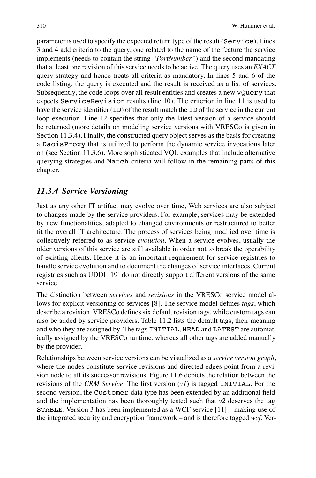parameter is used to specify the expected return type of the result (Service). Lines 3 and 4 add criteria to the query, one related to the name of the feature the service implements (needs to contain the string *"PortNumber"*) and the second mandating that at least one revision of this service needs to be active. The query uses an *EXACT* query strategy and hence treats all criteria as mandatory. In lines 5 and 6 of the code listing, the query is executed and the result is received as a list of services. Subsequently, the code loops over all result entities and creates a new VQuery that expects ServiceRevision results (line 10). The criterion in line 11 is used to have the service identifier (ID) of the result match the ID of the service in the current loop execution. Line 12 specifies that only the latest version of a service should be returned (more details on modeling service versions with VRESCo is given in Section 11.3.4). Finally, the constructed query object serves as the basis for creating a DaoisProxy that is utilized to perform the dynamic service invocations later on (see Section 11.3.6). More sophisticated VQL examples that include alternative querying strategies and Match criteria will follow in the remaining parts of this chapter.

## *11.3.4 Service Versioning*

Just as any other IT artifact may evolve over time, Web services are also subject to changes made by the service providers. For example, services may be extended by new functionalities, adapted to changed environments or restructured to better fit the overall IT architecture. The process of services being modified over time is collectively referred to as service *evolution*. When a service evolves, usually the older versions of this service are still available in order not to break the operability of existing clients. Hence it is an important requirement for service registries to handle service evolution and to document the changes of service interfaces. Current registries such as UDDI [19] do not directly support different versions of the same service.

The distinction between *services* and *revisions* in the VRESCo service model allows for explicit versioning of services [8]. The service model defines *tags*, which describe a revision. VRESCo defines six default revision tags, while custom tags can also be added by service providers. Table 11.2 lists the default tags, their meaning and who they are assigned by. The tags INITIAL, HEAD and LATEST are automatically assigned by the VRESCo runtime, whereas all other tags are added manually by the provider.

Relationships between service versions can be visualized as a *service version graph*, where the nodes constitute service revisions and directed edges point from a revision node to all its successor revisions. Figure 11.6 depicts the relation between the revisions of the *CRM Service*. The first version (*v1*) is tagged INITIAL. For the second version, the Customer data type has been extended by an additional field and the implementation has been thoroughly tested such that *v2* deserves the tag STABLE. Version 3 has been implemented as a WCF service [11] – making use of the integrated security and encryption framework – and is therefore tagged *wcf*. Ver-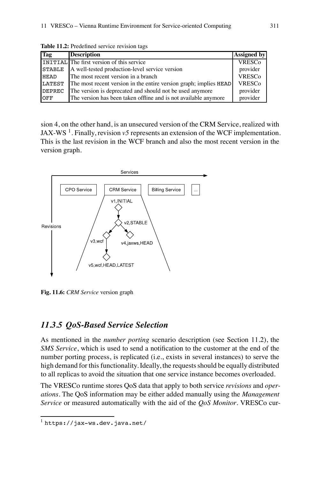| Tag           | <b>Description</b>                                                | <b>Assigned by</b> |
|---------------|-------------------------------------------------------------------|--------------------|
|               | <b>INITIAL</b> The first version of this service                  | <b>VRESCo</b>      |
| <b>STABLE</b> | A well-tested production-level service version                    | provider           |
| HEAD          | The most recent version in a branch                               | <b>VRESCo</b>      |
| <b>LATEST</b> | The most recent version in the entire version graph; implies HEAD | <b>VRESCo</b>      |
| <b>DEPREC</b> | The version is deprecated and should not be used anymore          | provider           |
| OFF           | The version has been taken offline and is not available anymore   | provider           |

**Table 11.2:** Predefined service revision tags

sion 4, on the other hand, is an unsecured version of the CRM Service, realized with JAX-WS  $<sup>1</sup>$ . Finally, revision  $v5$  represents an extension of the WCF implementation.</sup> This is the last revision in the WCF branch and also the most recent version in the version graph.



**Fig. 11.6:** *CRM Service* version graph

#### *11.3.5 QoS-Based Service Selection*

As mentioned in the *number porting* scenario description (see Section 11.2), the *SMS Service*, which is used to send a notification to the customer at the end of the number porting process, is replicated (i.e., exists in several instances) to serve the high demand for this functionality. Ideally, the requests should be equally distributed to all replicas to avoid the situation that one service instance becomes overloaded.

The VRESCo runtime stores QoS data that apply to both service *revisions* and *operations*. The QoS information may be either added manually using the *Management Service* or measured automatically with the aid of the *QoS Monitor*. VRESCo cur-

<sup>1</sup> https://jax-ws.dev.java.net/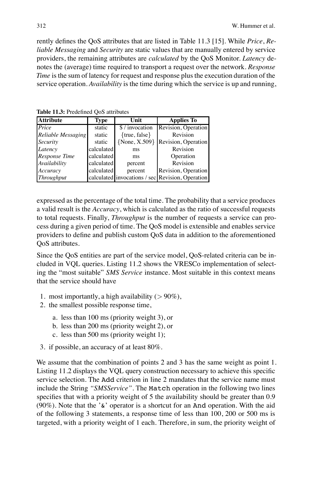rently defines the QoS attributes that are listed in Table 11.3 [15]. While *Price*, *Reliable Messaging* and *Security* are static values that are manually entered by service providers, the remaining attributes are *calculated* by the QoS Monitor. *Latency* denotes the (average) time required to transport a request over the network. *Response Time* is the sum of latency for request and response plus the execution duration of the service operation. *Availability* is the time during which the service is up and running,

| <b>Attribute</b>   | Type       | Unit              | <b>Applies To</b>                                |
|--------------------|------------|-------------------|--------------------------------------------------|
| Price              | static     | \$/invocation     | Revision, Operation                              |
| Reliable Messaging | static     | $\{true, false\}$ | Revision                                         |
| Security           | static     | $\{None, X.509\}$ | Revision, Operation                              |
| Latency            | calculated | ms                | Revision                                         |
| Response Time      | calculated | ms                | Operation                                        |
| Availability       | calculated | percent           | Revision                                         |
| Accuracy           | calculated | percent           | Revision, Operation                              |
| <b>Throughput</b>  |            |                   | calculated invocations / sec Revision, Operation |

**Table 11.3:** Predefined QoS attributes

expressed as the percentage of the total time. The probability that a service produces a valid result is the *Accuracy*, which is calculated as the ratio of successful requests to total requests. Finally, *Throughput* is the number of requests a service can process during a given period of time. The QoS model is extensible and enables service providers to define and publish custom QoS data in addition to the aforementioned QoS attributes.

Since the QoS entities are part of the service model, QoS-related criteria can be included in VQL queries. Listing 11.2 shows the VRESCo implementation of selecting the "most suitable" *SMS Service* instance. Most suitable in this context means that the service should have

- 1. most importantly, a high availability (*>* 90%),
- 2. the smallest possible response time,
	- a. less than 100 ms (priority weight 3), or
	- b. less than 200 ms (priority weight 2), or
	- c. less than 500 ms (priority weight 1);
- 3. if possible, an accuracy of at least 80%.

We assume that the combination of points 2 and 3 has the same weight as point 1. Listing 11.2 displays the VQL query construction necessary to achieve this specific service selection. The Add criterion in line 2 mandates that the service name must include the String *"SMSService"*. The Match operation in the following two lines specifies that with a priority weight of 5 the availability should be greater than 0.9 (90%). Note that the '&' operator is a shortcut for an And operation. With the aid of the following 3 statements, a response time of less than 100, 200 or 500 ms is targeted, with a priority weight of 1 each. Therefore, in sum, the priority weight of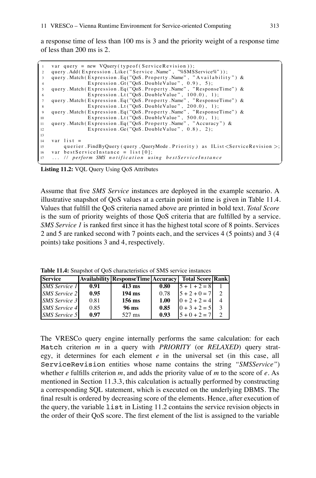a response time of less than 100 ms is 3 and the priority weight of a response time of less than 200 ms is 2.

```
\boxed{1 \quad \text{var query} = \text{new } \text{VQuery}(\text{type of}(\text{ServiceRevision}))),}2 query . Add ( Expression . Like (" Service . Name", "%SMSService%") );<br>3 query . Match ( Expression . Eq (" OoS . Property . Name" , " A vailabilit
 3 query . Match ( Expression . Eq ("QoS . Property . Name", " A vailability") &<br>4 Expression . Et ("QoS . Property . Name", " A vailability") &
  4 E x p r e s s i o n . Gt ( "QoS . DoubleValue " , 0 . 9 ) , 5 ) ;
5 query . Match ( E x p r e s s i o n . Eq ( "QoS . P r o p e r t y . Name" , " ResponseTime" ) &
  6 Expression .Lt ("QoS. Double Value", 100.0), 1);
  7 query . Match ( Expression . Eq ( "QoS . Property . Name" , "ResponseTime" ) &
 8 Expression .Lt("QoS.DoubleValue", 200.0), 1);<br>9 query .Match(Expression .Eq("QoS.Property .Name", "ResponseTime") &<br>10 Expression .Lt("QoS.DoubleValue", 500.0), 1);
 11 query . Match (Expression . Eq ("QoS . Property . Name", "Accuracy") &<br>12 Expression . Ge ("QoS . DoubleValue", 0.8), 2);
13
14 var list =<br>15 querie
              15 q u er ier . FindByQuery ( query , QueryMode . P r i o r i t y ) as IList <ServiceRevision >;
16 var bestServiceInstance = list [0];<br>17 ... // perform SMS notification using bestServiceInstance
```
Listing 11.2: *VQL Query Using QoS Attributes* 

Assume that five *SMS Service* instances are deployed in the example scenario. A illustrative snapshot of QoS values at a certain point in time is given in Table 11.4. Values that fulfill the QoS criteria named above are printed in bold text. *Total Score* is the sum of priority weights of those QoS criteria that are fulfilled by a service. *SMS Service 1* is ranked first since it has the highest total score of 8 points. Services 2 and 5 are ranked second with 7 points each, and the services 4 (5 points) and 3 (4 points) take positions 3 and 4, respectively.

| <b>Service</b>       | <b>Availability ResponseTime Accuracy Total Score Rank</b> |                  |      |                 |   |
|----------------------|------------------------------------------------------------|------------------|------|-----------------|---|
| <b>SMS</b> Service 1 | 0.91                                                       | $413 \text{ ms}$ | 0.80 | $5 + 1 + 2 = 8$ |   |
| <b>SMS</b> Service 2 | 0.95                                                       | $194 \text{ ms}$ | 0.78 | $5 + 2 + 0 = 7$ |   |
| <b>SMS</b> Service 3 | 0.81                                                       | $156$ ms         | 1.00 | $0 + 2 + 2 = 4$ | 4 |
| <b>SMS</b> Service 4 | 0.85                                                       | 96 ms            | 0.85 | $0 + 3 + 2 = 5$ |   |
| <b>SMS</b> Service 5 | 0.97                                                       | 527 ms           | 0.93 | $5 + 0 + 2 = 7$ |   |

**Table 11.4:** Snapshot of QoS characteristics of SMS service instances

The VRESCo query engine internally performs the same calculation: for each Match criterion *m* in a query with *PRIORITY* (or *RELAXED*) query strategy, it determines for each element *e* in the universal set (in this case, all ServiceRevision entities whose name contains the string *"SMSService"*) whether *e* fulfills criterion *m*, and adds the priority value of *m* to the score of *e*. As mentioned in Section 11.3.3, this calculation is actually performed by constructing a corresponding SQL statement, which is executed on the underlying DBMS. The final result is ordered by decreasing score of the elements. Hence, after execution of the query, the variable list in Listing 11.2 contains the service revision objects in the order of their QoS score. The first element of the list is assigned to the variable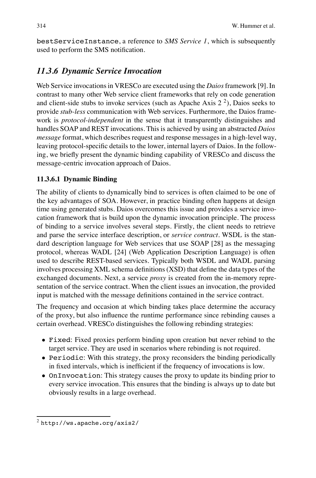bestServiceInstance, a reference to *SMS Service 1*, which is subsequently used to perform the SMS notification.

# *11.3.6 Dynamic Service Invocation*

Web Service invocations in VRESCo are executed using the *Daios*framework [9]. In contrast to many other Web service client frameworks that rely on code generation and client-side stubs to invoke services (such as Apache Axis  $2<sup>2</sup>$ ), Daios seeks to provide *stub-less* communication with Web services. Furthermore, the Daios framework is *protocol-independent* in the sense that it transparently distinguishes and handles SOAP and REST invocations. This is achieved by using an abstracted *Daios message* format, which describes request and response messages in a high-level way, leaving protocol-specific details to the lower, internal layers of Daios. In the following, we briefly present the dynamic binding capability of VRESCo and discuss the message-centric invocation approach of Daios.

#### **11.3.6.1 Dynamic Binding**

The ability of clients to dynamically bind to services is often claimed to be one of the key advantages of SOA. However, in practice binding often happens at design time using generated stubs. Daios overcomes this issue and provides a service invocation framework that is build upon the dynamic invocation principle. The process of binding to a service involves several steps. Firstly, the client needs to retrieve and parse the service interface description, or *service contract*. WSDL is the standard description language for Web services that use SOAP [28] as the messaging protocol, whereas WADL [24] (Web Application Description Language) is often used to describe REST-based services. Typically both WSDL and WADL parsing involves processing XML schema definitions (XSD) that define the data types of the exchanged documents. Next, a service *proxy* is created from the in-memory representation of the service contract. When the client issues an invocation, the provided input is matched with the message definitions contained in the service contract.

The frequency and occasion at which binding takes place determine the accuracy of the proxy, but also influence the runtime performance since rebinding causes a certain overhead. VRESCo distinguishes the following rebinding strategies:

- Fixed: Fixed proxies perform binding upon creation but never rebind to the target service. They are used in scenarios where rebinding is not required.
- Periodic: With this strategy, the proxy reconsiders the binding periodically in fixed intervals, which is inefficient if the frequency of invocations is low.
- OnInvocation: This strategy causes the proxy to update its binding prior to every service invocation. This ensures that the binding is always up to date but obviously results in a large overhead.

 $<sup>2</sup>$  http://ws.apache.org/axis2/</sup>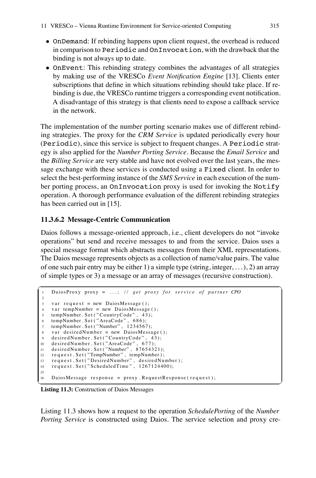- OnDemand: If rebinding happens upon client request, the overhead is reduced in comparison to Periodic and OnInvocation, with the drawback that the binding is not always up to date.
- OnEvent: This rebinding strategy combines the advantages of all strategies by making use of the VRESCo *Event Notification Engine* [13]. Clients enter subscriptions that define in which situations rebinding should take place. If rebinding is due, the VRESCo runtime triggers a corresponding event notification. A disadvantage of this strategy is that clients need to expose a callback service in the network.

The implementation of the number porting scenario makes use of different rebinding strategies. The proxy for the *CRM Service* is updated periodically every hour (Periodic), since this service is subject to frequent changes. A Periodic strategy is also applied for the *Number Porting Service*. Because the *Email Service* and the *Billing Service* are very stable and have not evolved over the last years, the message exchange with these services is conducted using a Fixed client. In order to select the best-performing instance of the *SMS Service* in each execution of the number porting process, an OnInvocation proxy is used for invoking the Notify operation. A thorough performance evaluation of the different rebinding strategies has been carried out in [15].

#### **11.3.6.2 Message-Centric Communication**

Daios follows a message-oriented approach, i.e., client developers do not "invoke operations" but send and receive messages to and from the service. Daios uses a special message format which abstracts messages from their XML representations. The Daios message represents objects as a collection of name/value pairs. The value of one such pair entry may be either 1) a simple type (string, integer, . . . ), 2) an array of simple types or 3) a message or an array of messages (recursive construction).

```
\boxed{1} DaiosProxy proxy = ...; // get proxy for service of partner CPO
 2
 3 var request = new DaiosMessage ();<br>4 var temnNumber = new DaiosMessage
    var tempNumber = new DaiosMessage ( ) ;
 5 tempNumber . Set ( "CountryCode" , 43);
 6 tempNumber . Set ( "AreaCode" , 686);
 7 \text{ temp number. Set ("Number", 1234567);}8 var desiredNumber = new DaiosMessage ( ) ;
 9 desiredNumber . Set ("CountryCode" , 43);
10 desiredNumber . Set ("AreaCode" , 677);
 11 desiredNumber . Set ( "Number" , 87654321);
12 request. Set ("TempNumber", tempNumber);
 13 request . Set ("DesiredNumber" , desiredNumber );
 14 request . Set ("ScheduledTime " , 1267124400);
15
16 DaiosMessage response = proxy . RequestResponse (request);<br>Listing 11.3: Construction of Daios Messages
```
Listing 11.3 shows how a request to the operation *SchedulePorting* of the *Number Porting Service* is constructed using Daios. The service selection and proxy cre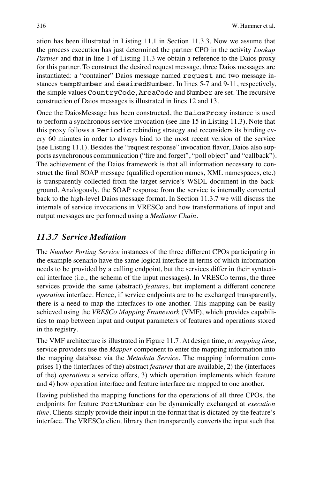ation has been illustrated in Listing 11.1 in Section 11.3.3. Now we assume that the process execution has just determined the partner CPO in the activity *Lookup Partner* and that in line 1 of Listing 11.3 we obtain a reference to the Daios proxy for this partner. To construct the desired request message, three Daios messages are instantiated: a "container" Daios message named request and two message instances tempNumber and desiredNumber. In lines 5-7 and 9-11, respectively, the simple values CountryCode, AreaCode and Number are set. The recursive construction of Daios messages is illustrated in lines 12 and 13.

Once the DaiosMessage has been constructed, the DaiosProxy instance is used to perform a synchronous service invocation (see line 15 in Listing 11.3). Note that this proxy follows a Periodic rebinding strategy and reconsiders its binding every 60 minutes in order to always bind to the most recent version of the service (see Listing 11.1). Besides the "request response" invocation flavor, Daios also supports asynchronous communication ("fire and forget", "poll object" and "callback"). The achievement of the Daios framework is that all information necessary to construct the final SOAP message (qualified operation names, XML namespaces, etc.) is transparently collected from the target service's WSDL document in the background. Analogously, the SOAP response from the service is internally converted back to the high-level Daios message format. In Section 11.3.7 we will discuss the internals of service invocations in VRESCo and how transformations of input and output messages are performed using a *Mediator Chain*.

### *11.3.7 Service Mediation*

The *Number Porting Service* instances of the three different CPOs participating in the example scenario have the same logical interface in terms of which information needs to be provided by a calling endpoint, but the services differ in their syntactical interface (i.e., the schema of the input messages). In VRESCo terms, the three services provide the same (abstract) *features*, but implement a different concrete *operation* interface. Hence, if service endpoints are to be exchanged transparently, there is a need to map the interfaces to one another. This mapping can be easily achieved using the *VRESCo Mapping Framework* (VMF), which provides capabilities to map between input and output parameters of features and operations stored in the registry.

The VMF architecture is illustrated in Figure 11.7. At design time, or *mapping time*, service providers use the *Mapper* component to enter the mapping information into the mapping database via the *Metadata Service*. The mapping information comprises 1) the (interfaces of the) abstract *features* that are available, 2) the (interfaces of the) *operations* a service offers, 3) which operation implements which feature and 4) how operation interface and feature interface are mapped to one another.

Having published the mapping functions for the operations of all three CPOs, the endpoints for feature PortNumber can be dynamically exchanged at *execution time*. Clients simply provide their input in the format that is dictated by the feature's interface. The VRESCo client library then transparently converts the input such that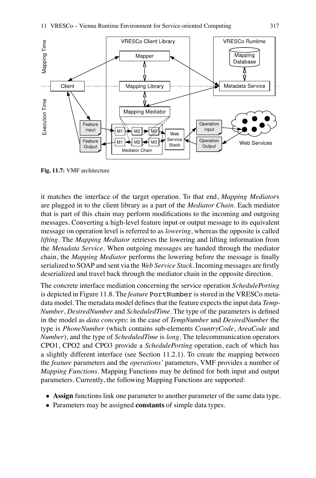

**Fig. 11.7:** VMF architecture

it matches the interface of the target operation. To that end, *Mapping Mediator*s are plugged in to the client library as a part of the *Mediator Chain*. Each mediator that is part of this chain may perform modifications to the incoming and outgoing messages. Converting a high-level feature input or output message to its equivalent message on operation level is referred to as *lowering*, whereas the opposite is called *lifting*. The *Mapping Mediator* retrieves the lowering and lifting information from the *Metadata Service*. When outgoing messages are handed through the mediator chain, the *Mapping Mediator* performs the lowering before the message is finally serialized to SOAP and sent via the *Web Service Stack*. Incoming messages are firstly deserialized and travel back through the mediator chain in the opposite direction.

The concrete interface mediation concerning the service operation *SchedulePorting* is depicted in Figure 11.8. The *feature* PortNumber is stored in the VRESCo metadata model. The metadata model defines that the feature expects the input data *Temp-Number*, *DesiredNumber* and *ScheduledTime*. The type of the parameters is defined in the model as *data concepts*: in the case of *TempNumber* and *DesiredNumber* the type is *PhoneNumber* (which contains sub-elements *CountryCode*, *AreaCode* and *Number*), and the type of *ScheduledTime* is *long*. The telecommunication operators CPO1, CPO2 and CPO3 provide a *SchedulePorting* operation, each of which has a slightly different interface (see Section 11.2.1). To create the mapping between the *feature* parameters and the *operations'* parameters, VMF provides a number of *Mapping Functions*. Mapping Functions may be defined for both input and output parameters. Currently, the following Mapping Functions are supported:

- **Assign** functions link one parameter to another parameter of the same data type.
- Parameters may be assigned **constants** of simple data types.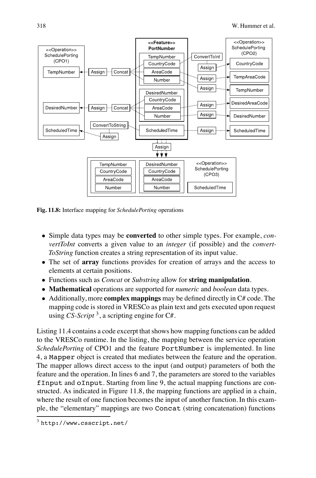

**Fig. 11.8:** Interface mapping for *SchedulePorting* operations

- Simple data types may be **converted** to other simple types. For example, *convertToInt* converts a given value to an *integer* (if possible) and the *convert-ToString* function creates a string representation of its input value.
- The set of **array** functions provides for creation of arrays and the access to elements at certain positions.
- Functions such as *Concat* or *Substring* allow for **string manipulation**.
- **Mathematical** operations are supported for *numeric* and *boolean* data types.
- Additionally, more **complex mappings** may be defined directly in C# code. The mapping code is stored in VRESCo as plain text and gets executed upon request using *CS-Script* 3, a scripting engine for C#.

Listing 11.4 contains a code excerpt that shows how mapping functions can be added to the VRESCo runtime. In the listing, the mapping between the service operation *SchedulePorting* of CPO1 and the feature PortNumber is implemented. In line 4, a Mapper object is created that mediates between the feature and the operation. The mapper allows direct access to the input (and output) parameters of both the feature and the operation. In lines 6 and 7, the parameters are stored to the variables fInput and oInput. Starting from line 9, the actual mapping functions are constructed. As indicated in Figure 11.8, the mapping functions are applied in a chain, where the result of one function becomes the input of another function. In this example, the "elementary" mappings are two Concat (string concatenation) functions

 $3$  http://www.csscript.net/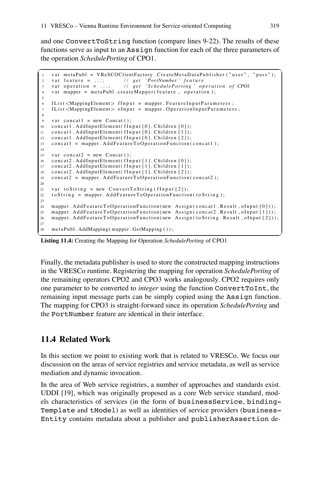and one ConvertToString function (compare lines 9-22). The results of these functions serve as input to an Assign function for each of the three parameters of the operation *SchedulePorting* of CPO1.

```
<sup>1</sup> var metaPubl = VReSCOClientFactory . CreateMetaDataPublisher ("user", "pass");
  2 var feature = ...; // get 'PortNumber' feature<br>3 var operation = ...; // get 'SchedulePorting' operation of CPOI
 4 var mapper = metaPubl . createMapper( feature , operation );
 5
 6 IList <MappingElement> fInput = mapper . FeatureI nputParameters ;
      7 IList <MappingElement> oInput = mapper . OperationI nputParameters ;
 8
9 var concat1 = new Concat ();<br>10 concat1. AddInputElement (fIn
10 concat1 . AddInputElement(fInput [0]. Children [0]);<br>11 concat1 . AddInputElement(fInput [0] Children [1]);
11 concat1 . AddInputElement(fInput [0]. Children [1]);<br>12 concat1 . AddInputElement(fInput [0]. Children [2]):
12 concat1 . AddInputElement(fInput[0]. Children [2]);<br>13 concat1 = mapper. AddFeatureToOperationFunction(
      \text{concat1} = mapper. AddFeatureToOperationFunction(concat1);
14
15 var concat2 = new Concat():
16 concat2. AddInputElement(fInput [1]. Children [0]);<br>17 concat2. AddInputElement(fInput [1]. Children [1]);
17 concat2 . AddInputElement(fInput [1]. Children [1]);<br>18 concat2 . AddInputElement(fInput [1]. Children [2]);
      concat2. AddInputElement(fInput [1]. Children [2]);
19 concat2 = mapper . AddFeatureToOperationFunction( concat2 );
20
21 var to String = new ConvertTo String (fInput [2]);<br>22 to String = mapper. AddFeature To Operation Function
      \text{toString} = \text{maper} \cdot \text{AddFeatureToOperationFunction}(\text{toString});
23
24 mapper . AddFeatureToOperationFunction (new Assign (concat1 . Result, oInput [0]));<br>25 mapper . AddFeatureToOperationFunction (new Assign (concat2 . Result, oInput [1]));
25 mapper . AddFeatureToOperationFunction (new Assign (concat2 . Result, oInput [1]));<br>26 mapper . AddFeatureToOperationFunction (new Assign (toString . Result, oInput [2]))
      mapper . AddFeatureToOperationFunction (new Assign (toString . Result, oInput [2]));
27
```
28 metaPubl . AddMapping (mapper . GetMapping ());<br> **Listing 11.4:** Creating the Mapping for Operation *SchedulePorting* of CPO1

Finally, the metadata publisher is used to store the constructed mapping instructions in the VRESCo runtime. Registering the mapping for operation *SchedulePorting* of the remaining operators CPO2 and CPO3 works analogously. CPO2 requires only one parameter to be converted to *integer* using the function ConvertToInt, the remaining input message parts can be simply copied using the Assign function. The mapping for CPO3 is straight-forward since its operation *SchedulePorting* and the PortNumber feature are identical in their interface.

# **11.4 Related Work**

In this section we point to existing work that is related to VRESCo. We focus our discussion on the areas of service registries and service metadata, as well as service mediation and dynamic invocation.

In the area of Web service registries, a number of approaches and standards exist. UDDI [19], which was originally proposed as a core Web service standard, models characteristics of services (in the form of businessService, binding-Template and tModel) as well as identities of service providers (business-Entity contains metadata about a publisher and publisherAssertion de-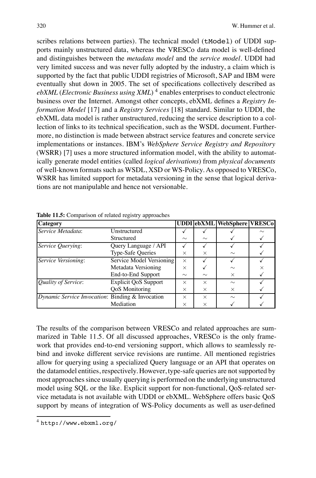scribes relations between parties). The technical model (tModel) of UDDI supports mainly unstructured data, whereas the VRESCo data model is well-defined and distinguishes between the *metadata model* and the *service model*. UDDI had very limited success and was never fully adopted by the industry, a claim which is supported by the fact that public UDDI registries of Microsoft, SAP and IBM were eventually shut down in 2005. The set of specifications collectively described as *ebXML* (*Electronic Business using XML*) <sup>4</sup> enables enterprises to conduct electronic business over the Internet. Amongst other concepts, ebXML defines a *Registry Information Model* [17] and a *Registry Services* [18] standard. Similar to UDDI, the ebXML data model is rather unstructured, reducing the service description to a collection of links to its technical specification, such as the WSDL document. Furthermore, no distinction is made between abstract service features and concrete service implementations or instances. IBM's *WebSphere Service Registry and Repository* (WSRR) [7] uses a more structured information model, with the ability to automatically generate model entities (called *logical derivations*) from *physical documents* of well-known formats such as WSDL, XSD or WS-Policy. As opposed to VRESCo, WSRR has limited support for metadata versioning in the sense that logical derivations are not manipulable and hence not versionable.

| <b>Category</b>                                  |                             |          |          | <b>UDDI</b> ebXML WebSphere VRESCo |          |
|--------------------------------------------------|-----------------------------|----------|----------|------------------------------------|----------|
| Service Metadata:                                | Unstructured                |          |          |                                    | $\sim$   |
|                                                  | Structured                  | $\sim$   | $\sim$   |                                    |          |
| Service Querying:                                | Query Language / API        |          |          |                                    |          |
|                                                  | Type-Safe Queries           | $\times$ | $\times$ | $\sim$                             |          |
| Service Versioning:                              | Service Model Versioning    | $\times$ |          |                                    |          |
|                                                  | Metadata Versioning         | X        |          | $\sim$                             | $\times$ |
|                                                  | End-to-End Support          | $\sim$   | $\sim$   | $\times$                           |          |
| Quality of Service:                              | <b>Explicit QoS Support</b> | $\times$ | $\times$ | $\sim$                             |          |
|                                                  | <b>OoS</b> Monitoring       | $\times$ | $\times$ | $\times$                           |          |
| Dynamic Service Invocation: Binding & Invocation |                             | X        | $\times$ | $\sim$                             |          |
|                                                  | Mediation                   | $\times$ | $\times$ |                                    |          |

**Table 11.5:** Comparison of related registry approaches

The results of the comparison between VRESCo and related approaches are summarized in Table 11.5. Of all discussed approaches, VRESCo is the only framework that provides end-to-end versioning support, which allows to seamlessly rebind and invoke different service revisions are runtime. All mentioned registries allow for querying using a specialized Query language or an API that operates on the datamodel entities, respectively. However, type-safe queries are not supported by most approaches since usually querying is performed on the underlying unstructured model using SQL or the like. Explicit support for non-functional, QoS-related service metadata is not available with UDDI or ebXML. WebSphere offers basic QoS support by means of integration of WS-Policy documents as well as user-defined

<sup>4</sup> http://www.ebxml.org/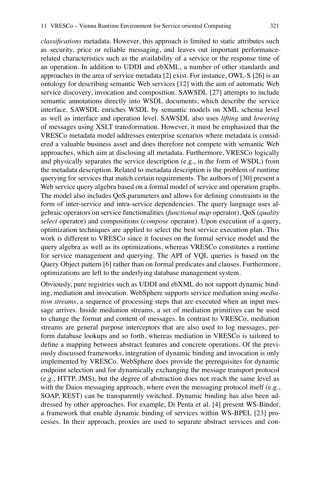*classifications* metadata. However, this approach is limited to static attributes such as security, price or reliable messaging, and leaves out important performancerelated characteristics such as the availability of a service or the response time of an operation. In addition to UDDI and ebXML, a number of other standards and approaches in the area of service metadata [2] exist. For instance, OWL-S [26] is an ontology for describing semantic Web services [12] with the aim of automatic Web service discovery, invocation and composition. SAWSDL [27] attempts to include semantic annotations directly into WSDL documents, which describe the service interface. SAWSDL enriches WSDL by semantic models on XML schema level as well as interface and operation level. SAWSDL also uses *lifting* and *lowering* of messages using XSLT transformation. However, it must be emphasized that the VRESCo metadata model addresses enterprise scenarios where metadata is considered a valuable business asset and does therefore not compete with semantic Web approaches, which aim at disclosing all metadata. Furthermore, VRESCo logically and physically separates the service description (e.g., in the form of WSDL) from the metadata description. Related to metadata description is the problem of runtime querying for services that match certain requirements. The authors of [30] present a Web service query algebra based on a formal model of service and operation graphs. The model also includes QoS parameters and allows for defining constraints in the form of inter-service and intra-service dependencies. The query language uses algebraic operators on service functionalities (*functional map* operator), QoS (*quality select* operator) and compositions (*compose* operator). Upon execution of a query, optimization techniques are applied to select the best service execution plan. This work is different to VRESCo since it focuses on the formal service model and the query algebra as well as its optimizations, whereas VRESCo constitutes a runtime for service management and querying. The API of VQL queries is based on the Query Object pattern [6] rather than on formal predicates and clauses. Furthermore, optimizations are left to the underlying database management system.

Obviously, pure registries such as UDDI and ebXML do not support dynamic binding, mediation and invocation. WebSphere supports service mediation using *mediation streams*, a sequence of processing steps that are executed when an input message arrives. Inside mediation streams, a set of mediation primitives can be used to change the format and content of messages. In contrast to VRESCo, mediation streams are general purpose interceptors that are also used to log messages, perform database lookups and so forth, whereas mediation in VRESCo is tailored to define a mapping between abstract features and concrete operations. Of the previously discussed frameworks, integration of dynamic binding and invocation is only implemented by VRESCo. WebSphere does provide the prerequisites for dynamic endpoint selection and for dynamically exchanging the message transport protocol (e.g., HTTP, JMS), but the degree of abstraction does not reach the same level as with the Daios messaging approach, where even the messaging protocol itself (e.g., SOAP, REST) can be transparently switched. Dynamic binding has also been addressed by other approaches. For example, Di Penta et al. [4] present WS-Binder, a framework that enable dynamic binding of services within WS-BPEL [23] processes. In their approach, proxies are used to separate abstract services and con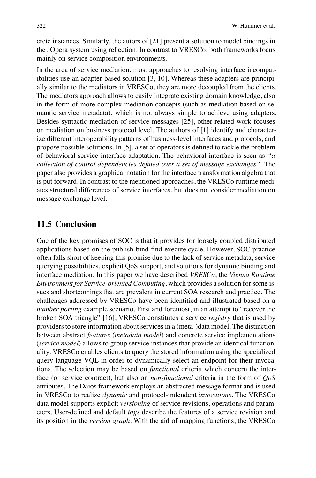crete instances. Similarly, the autors of [21] present a solution to model bindings in the JOpera system using reflection. In contrast to VRESCo, both frameworks focus mainly on service composition environments.

In the area of service mediation, most approaches to resolving interface incompatibilities use an adapter-based solution [3, 10]. Whereas these adapters are principially similar to the mediators in VRESCo, they are more decoupled from the clients. The mediators approach allows to easily integrate existing domain knowledge, also in the form of more complex mediation concepts (such as mediation based on semantic service metadata), which is not always simple to achieve using adapters. Besides syntactic mediation of service messages [25], other related work focuses on mediation on business protocol level. The authors of [1] identify and characterize different interoperability patterns of business-level interfaces and protocols, and propose possible solutions. In [5], a set of operators is defined to tackle the problem of behavioral service interface adaptation. The behavioral interface is seen as *"a collection of control dependencies defined over a set of message exchanges"*. The paper also provides a graphical notation for the interface transformation algebra that is put forward. In contrast to the mentioned approaches, the VRESCo runtime mediates structural differences of service interfaces, but does not consider mediation on message exchange level.

#### **11.5 Conclusion**

One of the key promises of SOC is that it provides for loosely coupled distributed applications based on the publish-bind-find-execute cycle. However, SOC practice often falls short of keeping this promise due to the lack of service metadata, service querying possibilities, explicit QoS support, and solutions for dynamic binding and interface mediation. In this paper we have described *VRESCo*, the *Vienna Runtime Environment for Service-oriented Computing*, which provides a solution for some issues and shortcomings that are prevalent in current SOA research and practice. The challenges addressed by VRESCo have been identified and illustrated based on a *number porting* example scenario. First and foremost, in an attempt to "recover the broken SOA triangle" [16], VRESCo constitutes a service *registry* that is used by providers to store information about services in a (meta-)data model. The distinction between abstract *features* (*metadata model*) and concrete service implementations (*service model*) allows to group service instances that provide an identical functionality. VRESCo enables clients to query the stored information using the specialized query language VQL in order to dynamically select an endpoint for their invocations. The selection may be based on *functional* criteria which concern the interface (or service contract), but also on *non-functional* criteria in the form of *QoS* attributes. The Daios framework employs an abstracted message format and is used in VRESCo to realize *dynamic* and protocol-indendent *invocations*. The VRESCo data model supports explicit *versioning* of service revisions, operations and parameters. User-defined and default *tags* describe the features of a service revision and its position in the *version graph*. With the aid of mapping functions, the VRESCo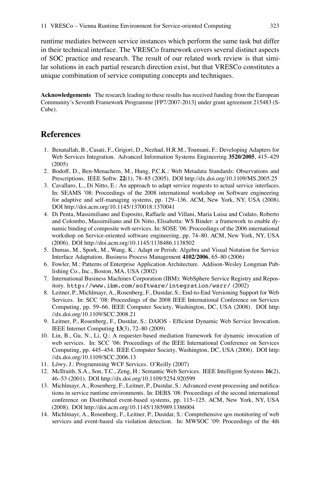runtime mediates between service instances which perform the same task but differ in their technical interface. The VRESCo framework covers several distinct aspects of SOC practice and research. The result of our related work review is that similar solutions in each partial research direction exist, but that VRESCo constitutes a unique combination of service computing concepts and techniques.

**Acknowledgements** The research leading to these results has received funding from the European Community's Seventh Framework Programme [FP7/2007-2013] under grant agreement 215483 (S-Cube).

#### **References**

- 1. Benatallah, B., Casati, F., Grigori, D., Nezhad, H.R.M., Toumani, F.: Developing Adapters for Web Services Integration. Advanced Information Systems Engineering **3520/2005**, 415–429 (2005)
- 2. Bodoff, D., Ben-Menachem, M., Hung, P.C.K.: Web Metadata Standards: Observations and Prescriptions. IEEE Softw. **22**(1), 78–85 (2005). DOI http://dx.doi.org/10.1109/MS.2005.25
- 3. Cavallaro, L., Di Nitto, E.: An approach to adapt service requests to actual service interfaces. In: SEAMS '08: Proceedings of the 2008 international workshop on Software engineering for adaptive and self-managing systems, pp. 129–136. ACM, New York, NY, USA (2008). DOI http://doi.acm.org/10.1145/1370018.1370041
- 4. Di Penta, Massimiliano and Esposito, Raffaele and Villani, Maria Luisa and Codato, Roberto and Colombo, Massimiliano and Di Nitto, Elisabetta: WS Binder: a framework to enable dynamic binding of composite web services. In: SOSE '06: Proceedings of the 2006 international workshop on Service-oriented software engineering, pp. 74–80. ACM, New York, NY, USA (2006). DOI http://doi.acm.org/10.1145/1138486.1138502
- 5. Dumas, M., Spork, M., Wang, K.: Adapt or Perish: Algebra and Visual Notation for Service Interface Adaptation. Business Process Management **4102/2006**, 65–80 (2006)
- 6. Fowler, M.: Patterns of Enterprise Application Architecture. Addison-Wesley Longman Publishing Co., Inc., Boston, MA, USA (2002)
- 7. International Business Machines Corporation (IBM): WebSphere Service Registry and Repository. http://www.ibm.com/software/integration/wsrr/ (2002)
- 8. Leitner, P., Michlmayr, A., Rosenberg, F., Dustdar, S.: End-to-End Versioning Support for Web Services. In: SCC '08: Proceedings of the 2008 IEEE International Conference on Services Computing, pp. 59–66. IEEE Computer Society, Washington, DC, USA (2008). DOI http: //dx.doi.org/10.1109/SCC.2008.21
- 9. Leitner, P., Rosenberg, F., Dustdar, S.: DAIOS Efficient Dynamic Web Service Invocation. IEEE Internet Computing **13**(3), 72–80 (2009)
- 10. Lin, B., Gu, N., Li, Q.: A requester-based mediation framework for dynamic invocation of web services. In: SCC '06: Proceedings of the IEEE International Conference on Services Computing, pp. 445–454. IEEE Computer Society, Washington, DC, USA (2006). DOI http: //dx.doi.org/10.1109/SCC.2006.13
- 11. Löwy, J.: Programming WCF Services. O'Reilly (2007)
- 12. McIlraith, S.A., Son, T.C., Zeng, H.: Semantic Web Services. IEEE Intelligent Systems **16**(2), 46–53 (2001). DOI http://dx.doi.org/10.1109/5254.920599
- 13. Michlmayr, A., Rosenberg, F., Leitner, P., Dustdar, S.: Advanced event processing and notifications in service runtime environments. In: DEBS '08: Proceedings of the second international conference on Distributed event-based systems, pp. 115–125. ACM, New York, NY, USA (2008). DOI http://doi.acm.org/10.1145/1385989.1386004
- 14. Michlmayr, A., Rosenberg, F., Leitner, P., Dustdar, S.: Comprehensive qos monitoring of web services and event-based sla violation detection. In: MWSOC '09: Proceedings of the 4th